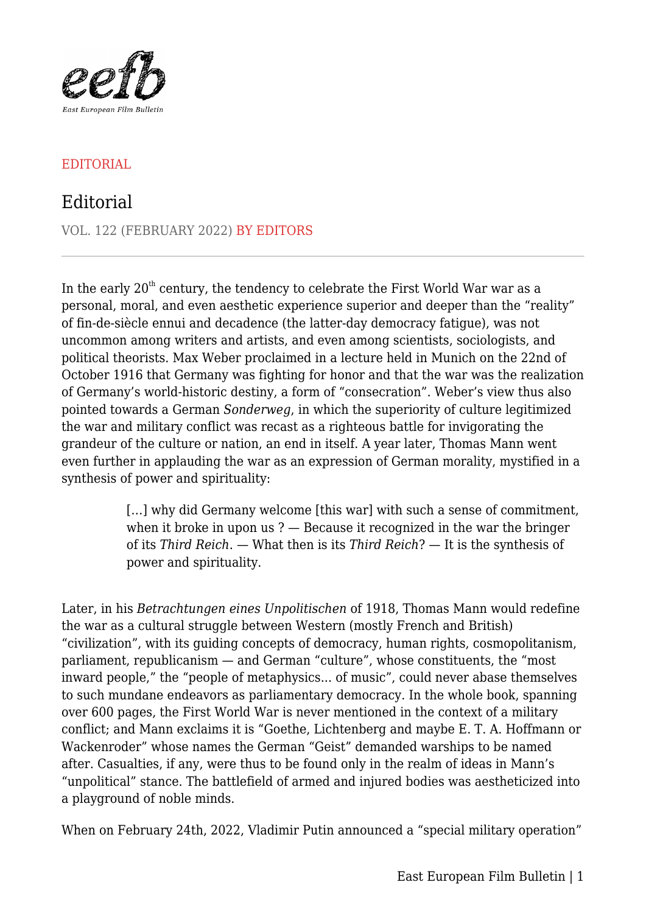

## EDITORIAL

## Editorial

VOL. 122 (FEBRUARY 2022) BY EDITORS

In the early  $20<sup>th</sup>$  century, the tendency to celebrate the First World War war as a personal, moral, and even aesthetic experience superior and deeper than the "reality" of fin-de-siècle ennui and decadence (the latter-day democracy fatigue), was not uncommon among writers and artists, and even among scientists, sociologists, and political theorists. Max Weber proclaimed in a lecture held in Munich on the 22nd of October 1916 that Germany was fighting for honor and that the war was the realization of Germany's world-historic destiny, a form of "consecration". Weber's view thus also pointed towards a German *Sonderweg*, in which the superiority of culture legitimized the war and military conflict was recast as a righteous battle for invigorating the grandeur of the culture or nation, an end in itself. A year later, Thomas Mann went even further in applauding the war as an expression of German morality, mystified in a synthesis of power and spirituality:

> [...] why did Germany welcome [this war] with such a sense of commitment, when it broke in upon us ? — Because it recognized in the war the bringer of its *Third Reich*. — What then is its *Third Reich*? — It is the synthesis of power and spirituality.

Later, in his *Betrachtungen eines Unpolitischen* of 1918, Thomas Mann would redefine the war as a cultural struggle between Western (mostly French and British) "civilization", with its guiding concepts of democracy, human rights, cosmopolitanism, parliament, republicanism — and German "culture", whose constituents, the "most inward people," the "people of metaphysics... of music", could never abase themselves to such mundane endeavors as parliamentary democracy. In the whole book, spanning over 600 pages, the First World War is never mentioned in the context of a military conflict; and Mann exclaims it is "Goethe, Lichtenberg and maybe E. T. A. Hoffmann or Wackenroder" whose names the German "Geist" demanded warships to be named after. Casualties, if any, were thus to be found only in the realm of ideas in Mann's "unpolitical" stance. The battlefield of armed and injured bodies was aestheticized into a playground of noble minds.

When on February 24th, 2022, Vladimir Putin announced a "special military operation"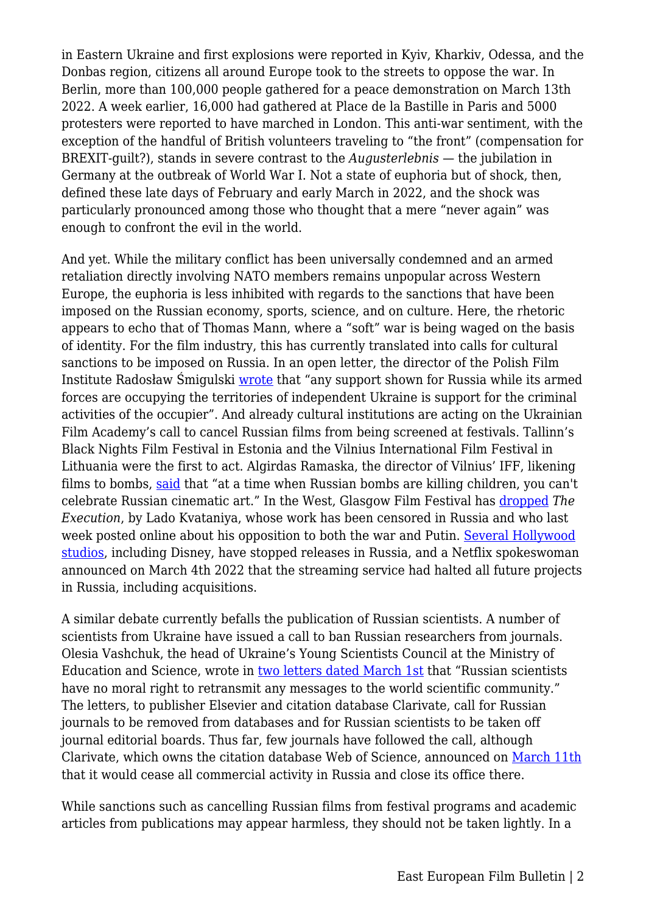in Eastern Ukraine and first explosions were reported in Kyiv, Kharkiv, Odessa, and the Donbas region, citizens all around Europe took to the streets to oppose the war. In Berlin, more than 100,000 people gathered for a peace demonstration on March 13th 2022. A week earlier, 16,000 had gathered at Place de la Bastille in Paris and 5000 protesters were reported to have marched in London. This anti-war sentiment, with the exception of the handful of British volunteers traveling to "the front" (compensation for BREXIT-guilt?), stands in severe contrast to the *Augusterlebnis* — the jubilation in Germany at the outbreak of World War I. Not a state of euphoria but of shock, then, defined these late days of February and early March in 2022, and the shock was particularly pronounced among those who thought that a mere "never again" was enough to confront the evil in the world.

And yet. While the military conflict has been universally condemned and an armed retaliation directly involving NATO members remains unpopular across Western Europe, the euphoria is less inhibited with regards to the sanctions that have been imposed on the Russian economy, sports, science, and on culture. Here, the rhetoric appears to echo that of Thomas Mann, where a "soft" war is being waged on the basis of identity. For the film industry, this has currently translated into calls for cultural sanctions to be imposed on Russia. In an open letter, the director of the Polish Film Institute Radosław Śmigulski [wrote](https://pisf.pl/en/aktualnosci/polish-film-institute-shows-solidarity-for-ukraine-calls-for-cultural-sanctions-on-russia/) that "any support shown for Russia while its armed forces are occupying the territories of independent Ukraine is support for the criminal activities of the occupier". And already cultural institutions are acting on the Ukrainian Film Academy's call to cancel Russian films from being screened at festivals. Tallinn's Black Nights Film Festival in Estonia and the Vilnius International Film Festival in Lithuania were the first to act. Algirdas Ramaska, the director of Vilnius' IFF, likening films to bombs, [said](https://www.deutschlandfunkkultur.de/russische-filme-boykott-filmfestivals-100.html) that "at a time when Russian bombs are killing children, you can't celebrate Russian cinematic art." In the West, Glasgow Film Festival has [dropped](https://www.screendaily.com/features/film-and-tv-sector-scrambles-to-react-to-ukraine-war/5168676.article) *The Execution*, by Lado Kvataniya, whose work has been censored in Russia and who last week posted online about his opposition to both the war and Putin. [Several Hollywood](https://www.nytimes.com/2022/03/04/movies/film-boycott-russia-ukraine.html) [studios,](https://www.nytimes.com/2022/03/04/movies/film-boycott-russia-ukraine.html) including Disney, have stopped releases in Russia, and a Netflix spokeswoman announced on March 4th 2022 that the streaming service had halted all future projects in Russia, including acquisitions.

A similar debate currently befalls the publication of Russian scientists. A number of scientists from Ukraine have issued a call to ban Russian researchers from journals. Olesia Vashchuk, the head of Ukraine's Young Scientists Council at the Ministry of Education and Science, wrote in [two letters dated March 1st](https://www.nature.com/articles/d41586-022-00718-y) that "Russian scientists have no moral right to retransmit any messages to the world scientific community." The letters, to publisher Elsevier and citation database Clarivate, call for Russian journals to be removed from databases and for Russian scientists to be taken off journal editorial boards. Thus far, few journals have followed the call, although Clarivate, which owns the citation database Web of Science, announced on [March 11th](https://clarivate.com/news/clarivate-to-cease-all-commercial-activity-in-russia/) that it would cease all commercial activity in Russia and close its office there.

While sanctions such as cancelling Russian films from festival programs and academic articles from publications may appear harmless, they should not be taken lightly. In a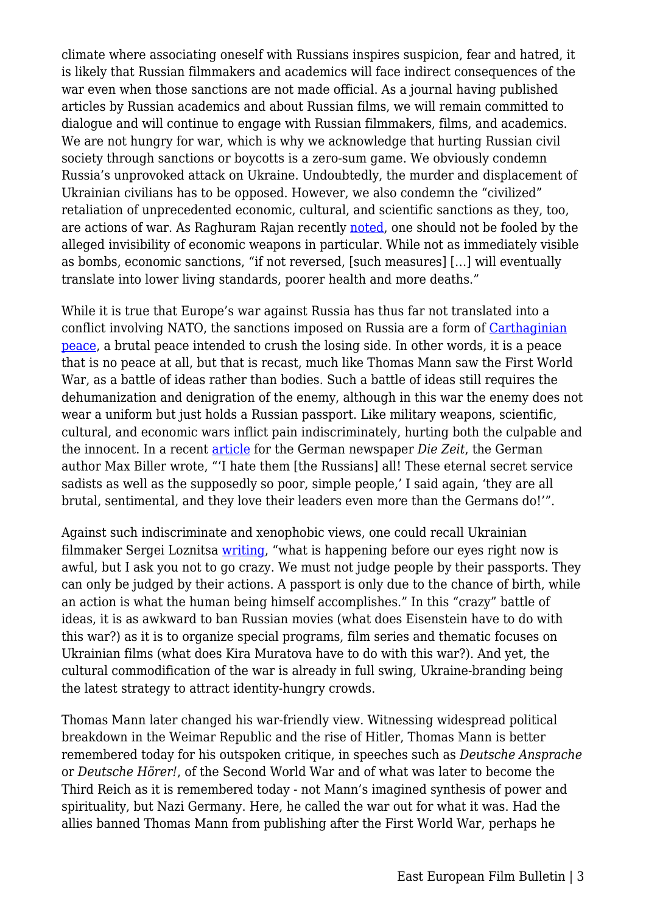climate where associating oneself with Russians inspires suspicion, fear and hatred, it is likely that Russian filmmakers and academics will face indirect consequences of the war even when those sanctions are not made official. As a journal having published articles by Russian academics and about Russian films, we will remain committed to dialogue and will continue to engage with Russian filmmakers, films, and academics. We are not hungry for war, which is why we acknowledge that hurting Russian civil society through sanctions or boycotts is a zero-sum game. We obviously condemn Russia's unprovoked attack on Ukraine. Undoubtedly, the murder and displacement of Ukrainian civilians has to be opposed. However, we also condemn the "civilized" retaliation of unprecedented economic, cultural, and scientific sanctions as they, too, are actions of war. As Raghuram Rajan recently [noted,](https://www.project-syndicate.org/commentary/economic-wmds-and-the-risk-of-deglobalization-by-raghuram-rajan-2022-03) one should not be fooled by the alleged invisibility of economic weapons in particular. While not as immediately visible as bombs, economic sanctions, "if not reversed, [such measures] […] will eventually translate into lower living standards, poorer health and more deaths."

While it is true that Europe's war against Russia has thus far not translated into a conflict involving NATO, the sanctions imposed on Russia are a form of [Carthaginian](https://oll.libertyfund.org/title/keynes-the-economic-consequences-of-the-peace) [peace,](https://oll.libertyfund.org/title/keynes-the-economic-consequences-of-the-peace) a brutal peace intended to crush the losing side. In other words, it is a peace that is no peace at all, but that is recast, much like Thomas Mann saw the First World War, as a battle of ideas rather than bodies. Such a battle of ideas still requires the dehumanization and denigration of the enemy, although in this war the enemy does not wear a uniform but just holds a Russian passport. Like military weapons, scientific, cultural, and economic wars inflict pain indiscriminately, hurting both the culpable and the innocent. In a recent [article](https://www.zeit.de/2022/10/angriff-ukraine-russland-geschichte-tschechien) for the German newspaper *Die Zeit*, the German author Max Biller wrote, "'I hate them [the Russians] all! These eternal secret service sadists as well as the supposedly so poor, simple people,' I said again, 'they are all brutal, sentimental, and they love their leaders even more than the Germans do!'".

Against such indiscriminate and xenophobic views, one could recall Ukrainian filmmaker Sergei Loznitsa [writing](https://variety.com/2022/film/global/sergeui-loznitsa-against-russian-boycott-1235192878/), "what is happening before our eyes right now is awful, but I ask you not to go crazy. We must not judge people by their passports. They can only be judged by their actions. A passport is only due to the chance of birth, while an action is what the human being himself accomplishes." In this "crazy" battle of ideas, it is as awkward to ban Russian movies (what does Eisenstein have to do with this war?) as it is to organize special programs, film series and thematic focuses on Ukrainian films (what does Kira Muratova have to do with this war?). And yet, the cultural commodification of the war is already in full swing, Ukraine-branding being the latest strategy to attract identity-hungry crowds.

Thomas Mann later changed his war-friendly view. Witnessing widespread political breakdown in the Weimar Republic and the rise of Hitler, Thomas Mann is better remembered today for his outspoken critique, in speeches such as *Deutsche Ansprache* or *Deutsche Hörer!*, of the Second World War and of what was later to become the Third Reich as it is remembered today - not Mann's imagined synthesis of power and spirituality, but Nazi Germany. Here, he called the war out for what it was. Had the allies banned Thomas Mann from publishing after the First World War, perhaps he